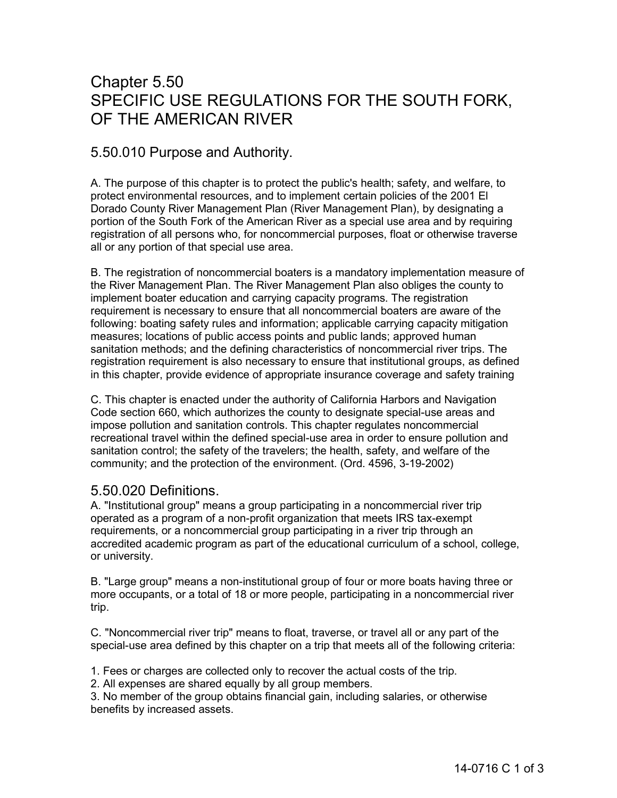# Chapter 5.50 SPECIFIC USE REGULATIONS FOR THE SOUTH FORK, OF THE AMERICAN RIVER

#### 5.50.010 Purpose and Authority.

A. The purpose of this chapter is to protect the public's health; safety, and welfare, to protect environmental resources, and to implement certain policies of the 2001 El Dorado County River Management Plan (River Management Plan), by designating a portion of the South Fork of the American River as a special use area and by requiring registration of all persons who, for noncommercial purposes, float or otherwise traverse all or any portion of that special use area.

B. The registration of noncommercial boaters is a mandatory implementation measure of the River Management Plan. The River Management Plan also obliges the county to implement boater education and carrying capacity programs. The registration requirement is necessary to ensure that all noncommercial boaters are aware of the following: boating safety rules and information; applicable carrying capacity mitigation measures; locations of public access points and public lands; approved human sanitation methods; and the defining characteristics of noncommercial river trips. The registration requirement is also necessary to ensure that institutional groups, as defined in this chapter, provide evidence of appropriate insurance coverage and safety training

C. This chapter is enacted under the authority of California Harbors and Navigation Code section 660, which authorizes the county to designate special-use areas and impose pollution and sanitation controls. This chapter regulates noncommercial recreational travel within the defined special-use area in order to ensure pollution and sanitation control; the safety of the travelers; the health, safety, and welfare of the community; and the protection of the environment. (Ord. 4596, 3-19-2002)

#### 5.50.020 Definitions.

A. "Institutional group" means a group participating in a noncommercial river trip operated as a program of a non-profit organization that meets IRS tax-exempt requirements, or a noncommercial group participating in a river trip through an accredited academic program as part of the educational curriculum of a school, college, or university.

B. "Large group" means a non-institutional group of four or more boats having three or more occupants, or a total of 18 or more people, participating in a noncommercial river trip.

C. "Noncommercial river trip" means to float, traverse, or travel all or any part of the special-use area defined by this chapter on a trip that meets all of the following criteria:

1. Fees or charges are collected only to recover the actual costs of the trip.

2. All expenses are shared equally by all group members.

3. No member of the group obtains financial gain, including salaries, or otherwise benefits by increased assets.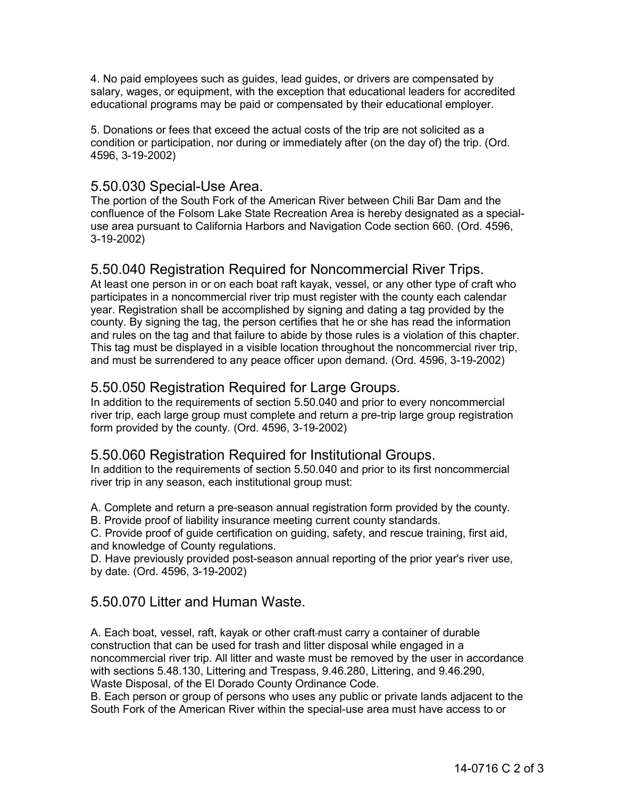4. No paid employees such as guides, lead guides, or drivers are compensated by salary, wages, or equipment, with the exception that educational leaders for accredited educational programs may be paid or compensated by their educational employer.

5. Donations or fees that exceed the actual costs of the trip are not solicited as a condition or participation, nor during or immediately after (on the day of) the trip. (Ord. 4596, 3-19-2002)

#### 5.50.030 Special-Use Area.

The portion of the South Fork of the American River between Chili Bar Dam and the confluence of the Folsom Lake State Recreation Area is hereby designated as a specialuse area pursuant to California Harbors and Navigation Code section 660. (Ord. 4596, 3-19-2002)

# 5.50.040 Registration Required for Noncommercial River Trips.

At least one person in or on each boat raft kayak, vessel, or any other type of craft who participates in a noncommercial river trip must register with the county each calendar year. Registration shall be accomplished by signing and dating a tag provided by the county. By signing the tag, the person certifies that he or she has read the information and rules on the tag and that failure to abide by those rules is a violation of this chapter. This tag must be displayed in a visible location throughout the noncommercial river trip, and must be surrendered to any peace officer upon demand. (Ord. 4596, 3-19-2002)

#### 5.50.050 Registration Required for Large Groups.

In addition to the requirements of section 5.50.040 and prior to every noncommercial river trip, each large group must complete and return a pre-trip large group registration form provided by the county. (Ord. 4596, 3-19-2002)

#### 5.50.060 Registration Required for Institutional Groups.

In addition to the requirements of section 5.50.040 and prior to its first noncommercial river trip in any season, each institutional group must:

A. Complete and return a pre-season annual registration form provided by the county.

B. Provide proof of liability insurance meeting current county standards.

C. Provide proof of guide certification on guiding, safety, and rescue training, first aid, and knowledge of County regulations.

D. Have previously provided post-season annual reporting of the prior year's river use, by date. (Ord. 4596, 3-19-2002)

#### 5.50.070 Litter and Human Waste.

A. Each boat, vessel, raft, kayak or other craft must carry a container of durable construction that can be used for trash and litter disposal while engaged in a noncommercial river trip. All litter and waste must be removed by the user in accordance with sections 5.48.130, Littering and Trespass, 9.46.280, Littering, and 9.46.290, Waste Disposal, of the El Dorado County Ordinance Code.

B. Each person or group of persons who uses any public or private lands adjacent to the South Fork of the American River within the special-use area must have access to or